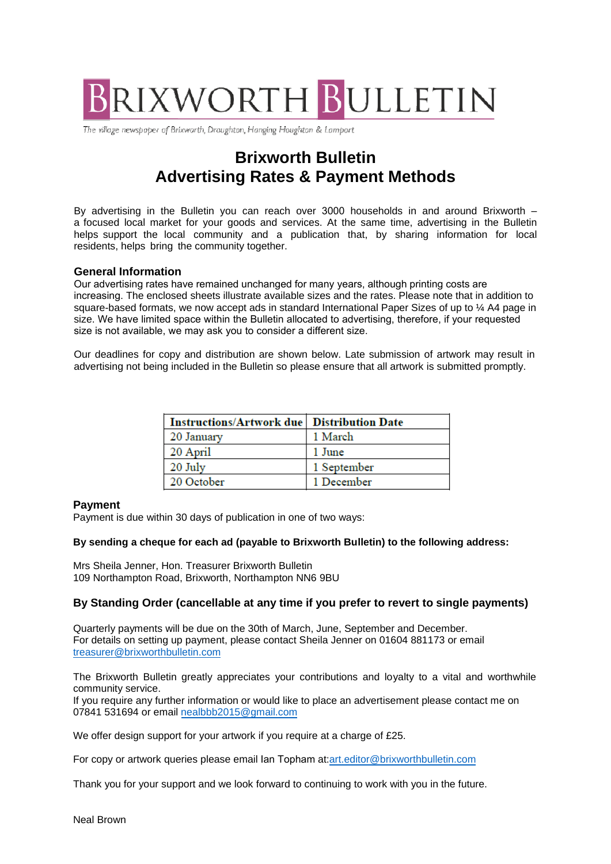

The village newspaper of Brixworth, Draughton, Hanging Houghton & Lamport

### **Brixworth Bulletin Advertising Rates & Payment Methods**

By advertising in the Bulletin you can reach over 3000 households in and around Brixworth – a focused local market for your goods and services. At the same time, advertising in the Bulletin helps support the local community and a publication that, by sharing information for local residents, helps bring the community together.

#### **General Information**

Our advertising rates have remained unchanged for many years, although printing costs are increasing. The enclosed sheets illustrate available sizes and the rates. Please note that in addition to square-based formats, we now accept ads in standard International Paper Sizes of up to 1/4 A4 page in size. We have limited space within the Bulletin allocated to advertising, therefore, if your requested size is not available, we may ask you to consider a different size.

Our deadlines for copy and distribution are shown below. Late submission of artwork may result in advertising not being included in the Bulletin so please ensure that all artwork is submitted promptly.

| <b>Instructions/Artwork due   Distribution Date</b> |             |
|-----------------------------------------------------|-------------|
| 20 January                                          | 1 March     |
| 20 April                                            | 1 June      |
| 20 July                                             | 1 September |
| 20 October                                          | 1 December  |

#### **Payment**

Payment is due within 30 days of publication in one of two ways:

#### **By sending a cheque for each ad (payable to Brixworth Bulletin) to the following address:**

Mrs Sheila Jenner, Hon. Treasurer Brixworth Bulletin 109 Northampton Road, Brixworth, Northampton NN6 9BU

#### **[By Standing Order \(cancella](mailto:treasurer@brixworthbulletin.com)ble at any time if you prefer to revert to single payments)**

Quarterly payments will be due on the 30th of March, June, September and December. For details on setting up payment, please contact Sheila Jenner on 01604 881173 or email treasurer@brixworthbulletin.com

The Brixworth Bulleti[n greatly appreciates your c](mailto:nealbbb2015@gmail.com)ontributions and loyalty to a vital and worthwhile community service.

If you require any further information or would like to place an advertisement please contact me on 07841 531694 or email nealbbb2015@gmail.com

We offer design support for your artwork if you require at a charge of £25.

For copy or artwork queries please email Ian Topham at:art.editor@brixworthbulletin.com

Thank you for your support and we look forward to continuing to work with you in the future.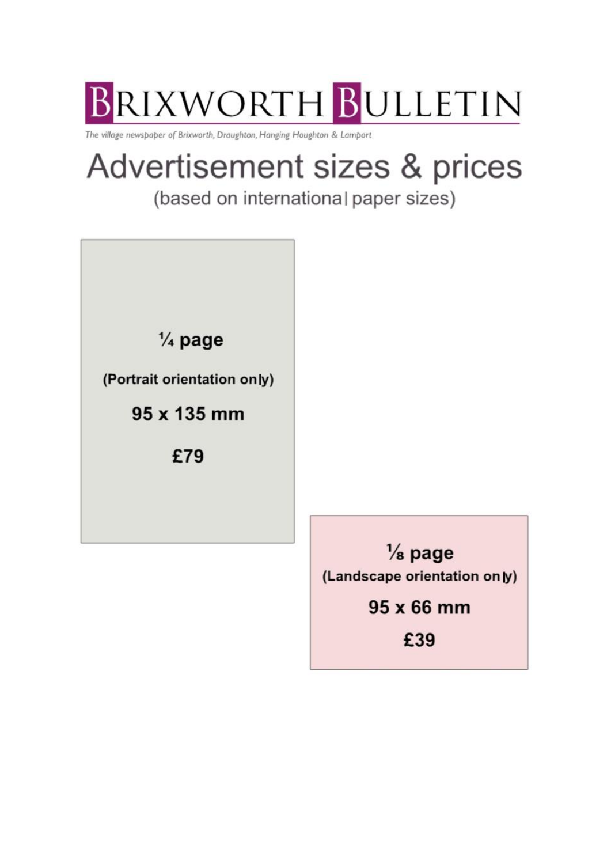

The village newspaper of Brixworth, Draughton, Hanging Houghton & Lamport

## Advertisement sizes & prices

(based on international paper sizes)

 $\frac{1}{4}$  page

(Portrait orientation only)

95 x 135 mm

£79

 $\frac{1}{8}$  page (Landscape orientation on y)

95 x 66 mm

£39